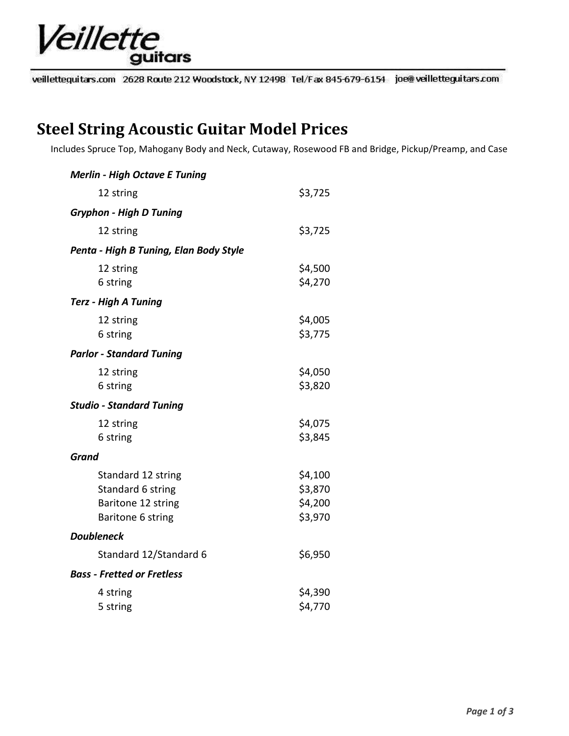

veillettequitars.com 2628 Route 212 Woodstock, NY 12498 Tel/Fax 845-679-6154 joe@veilletteguitars.com

## **Steel String Acoustic Guitar Model Prices**

Includes Spruce Top, Mahogany Body and Neck, Cutaway, Rosewood FB and Bridge, Pickup/Preamp, and Case

| <b>Merlin - High Octave E Tuning</b>                                               |                                          |
|------------------------------------------------------------------------------------|------------------------------------------|
| 12 string                                                                          | \$3,725                                  |
| <b>Gryphon - High D Tuning</b>                                                     |                                          |
| 12 string                                                                          | \$3,725                                  |
| Penta - High B Tuning, Elan Body Style                                             |                                          |
| 12 string<br>6 string                                                              | \$4,500<br>\$4,270                       |
| <b>Terz - High A Tuning</b>                                                        |                                          |
| 12 string<br>6 string                                                              | \$4,005<br>\$3,775                       |
| <b>Parlor - Standard Tuning</b>                                                    |                                          |
| 12 string<br>6 string                                                              | \$4,050<br>\$3,820                       |
| <b>Studio - Standard Tuning</b>                                                    |                                          |
| 12 string<br>6 string                                                              | \$4,075<br>\$3,845                       |
| <b>Grand</b>                                                                       |                                          |
| Standard 12 string<br>Standard 6 string<br>Baritone 12 string<br>Baritone 6 string | \$4,100<br>\$3,870<br>\$4,200<br>\$3,970 |
| <b>Doubleneck</b>                                                                  |                                          |
| Standard 12/Standard 6                                                             | \$6,950                                  |
| <b>Bass - Fretted or Fretless</b>                                                  |                                          |
| 4 string<br>5 string                                                               | \$4,390<br>\$4,770                       |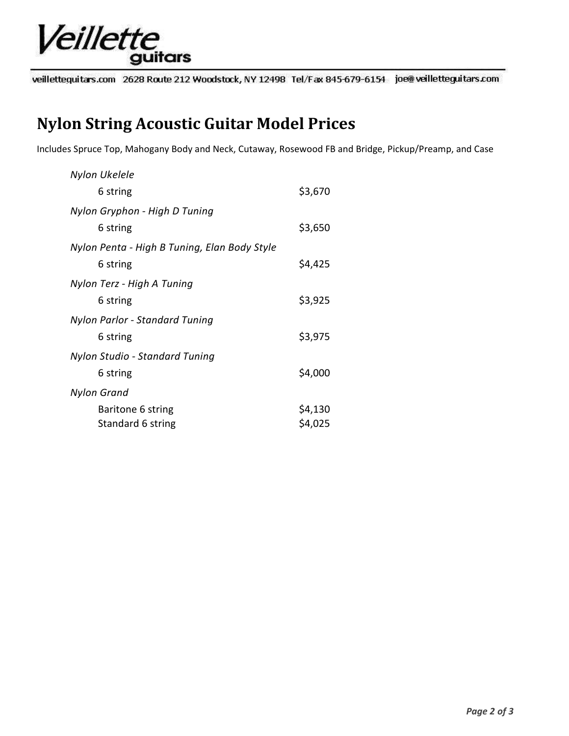

veillettequitars.com 2628 Route 212 Woodstock, NY 12498 Tel/Fax 845-679-6154 joe@veilletteguitars.com

## **Nylon String Acoustic Guitar Model Prices**

Includes Spruce Top, Mahogany Body and Neck, Cutaway, Rosewood FB and Bridge, Pickup/Preamp, and Case

| Nylon Ukelele                                |         |
|----------------------------------------------|---------|
| 6 string                                     | \$3,670 |
| Nylon Gryphon - High D Tuning                |         |
| 6 string                                     | \$3,650 |
| Nylon Penta - High B Tuning, Elan Body Style |         |
| 6 string                                     | \$4,425 |
| Nylon Terz - High A Tuning                   |         |
| 6 string                                     | \$3,925 |
| Nylon Parlor - Standard Tuning               |         |
| 6 string                                     | \$3,975 |
| Nylon Studio - Standard Tuning               |         |
| 6 string                                     | \$4,000 |
| Nylon Grand                                  |         |
| Baritone 6 string                            | \$4,130 |
| Standard 6 string                            | \$4,025 |